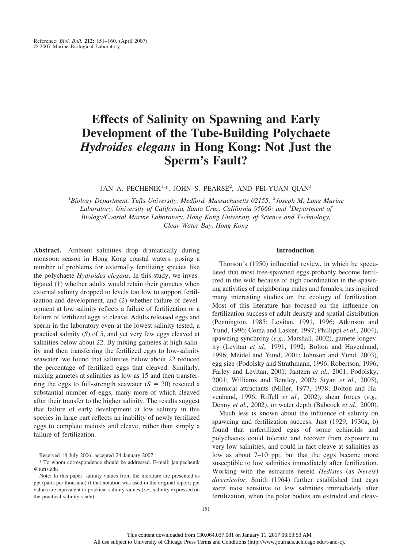# **Effects of Salinity on Spawning and Early Development of the Tube-Building Polychaete** *Hydroides elegans* **in Hong Kong: Not Just the Sperm's Fault?**

JAN A. PECHENIK<sup>1,\*</sup>, JOHN S. PEARSE<sup>2</sup>, AND PEI-YUAN QIAN<sup>3</sup>

<sup>1</sup>Biology Department, Tufts University, Medford, Massachusetts 02155; <sup>2</sup>Joseph M. Long Marine *Laboratory, University of California, Santa Cruz, California 95060; and* <sup>3</sup> *Department of Biology/Coastal Marine Laboratory, Hong Kong University of Science and Technology, Clear Water Bay, Hong Kong*

**Abstract.** Ambient salinities drop dramatically during monsoon season in Hong Kong coastal waters, posing a number of problems for externally fertilizing species like the polychaete *Hydroides elegans.* In this study, we investigated (1) whether adults would retain their gametes when external salinity dropped to levels too low to support fertilization and development, and (2) whether failure of development at low salinity reflects a failure of fertilization or a failure of fertilized eggs to cleave. Adults released eggs and sperm in the laboratory even at the lowest salinity tested, a practical salinity (*S*) of 5, and yet very few eggs cleaved at salinities below about 22. By mixing gametes at high salinity and then transferring the fertilized eggs to low-salinity seawater, we found that salinities below about 22 reduced the percentage of fertilized eggs that cleaved. Similarly, mixing gametes at salinities as low as 15 and then transferring the eggs to full-strength seawater  $(S = 30)$  rescued a substantial number of eggs, many more of which cleaved after their transfer to the higher salinity. The results suggest that failure of early development at low salinity in this species in large part reflects an inability of newly fertilized eggs to complete meiosis and cleave, rather than simply a failure of fertilization.

Received 18 July 2006; accepted 24 January 2007.

\* To whom correspondence should be addressed. E-mail: jan.pechenik @tufts.edu

# **Introduction**

Thorson's (1950) influential review, in which he speculated that most free-spawned eggs probably become fertilized in the wild because of high coordination in the spawning activities of neighboring males and females, has inspired many interesting studies on the ecology of fertilization. Most of this literature has focused on the influence on fertilization success of adult density and spatial distribution (Pennington, 1985; Levitan, 1991, 1996; Atkinson and Yund, 1996; Coma and Lasker, 1997; Phillippi *et al.,* 2004), spawning synchrony (*e.g.,* Marshall, 2002), gamete longevity (Levitan *et al.,* 1991, 1992; Bolton and Havenhand, 1996; Meidel and Yund, 2001; Johnson and Yund, 2003), egg size (Podolsky and Strathmann, 1996; Robertson, 1996; Farley and Levitan, 2001; Jantzen *et al.,* 2001; Podolsky, 2001; Williams and Bentley, 2002; Styan *et al.,* 2005), chemical attractants (Miller, 1977, 1978; Bolton and Havenhand, 1996; Riffell *et al.,* 2002), shear forces (*e.g.,* Denny *et al.,* 2002), or water depth (Babcock *et al.,* 2000).

Much less is known about the influence of salinity on spawning and fertilization success. Just (1929, 1930a, b) found that unfertilized eggs of some echinoids and polychaetes could tolerate and recover from exposure to very low salinities, and could in fact cleave at salinities as low as about 7–10 ppt, but that the eggs became more susceptible to low salinities immediately after fertilization. Working with the estuarine nereid *Hedistes* (as *Nereis) diversicolor,* Smith (1964) further established that eggs were most sensitive to low salinities immediately after fertilization, when the polar bodies are extruded and cleav-

Note: In this paper, salinity values from the literature are presented as ppt (parts per thousand) if that notation was used in the original report; ppt values are equivalent to practical salinity values (*i.e.,* salinity expressed on the practical salinity scale).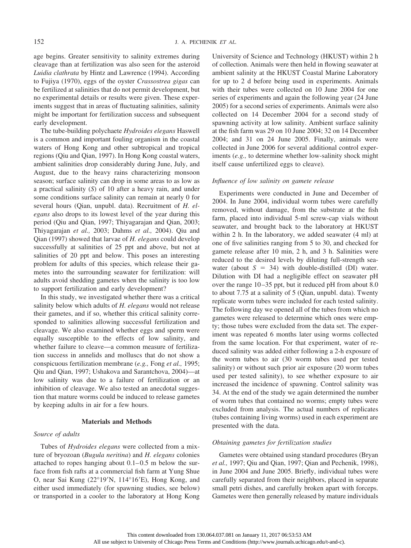age begins. Greater sensitivity to salinity extremes during cleavage than at fertilization was also seen for the asteroid *Luidia clathrata* by Hintz and Lawrence (1994). According to Fujiya (1970), eggs of the oyster *Crassostrea gigas* can be fertilized at salinities that do not permit development, but no experimental details or results were given. These experiments suggest that in areas of fluctuating salinities, salinity might be important for fertilization success and subsequent early development.

The tube-building polychaete *Hydroides elegans* Haswell is a common and important fouling organism in the coastal waters of Hong Kong and other subtropical and tropical regions (Qiu and Qian, 1997). In Hong Kong coastal waters, ambient salinities drop considerably during June, July, and August, due to the heavy rains characterizing monsoon season; surface salinity can drop in some areas to as low as a practical salinity (*S*) of 10 after a heavy rain, and under some conditions surface salinity can remain at nearly 0 for several hours (Qian, unpubl. data). Recruitment of *H. elegans* also drops to its lowest level of the year during this period (Qiu and Qian, 1997; Thiyagarajan and Qian, 2003; Thiyagarajan *et al.,* 2003; Dahms *et al.,* 2004). Qiu and Qian (1997) showed that larvae of *H. elegans* could develop successfully at salinities of 25 ppt and above, but not at salinities of 20 ppt and below. This poses an interesting problem for adults of this species, which release their gametes into the surrounding seawater for fertilization: will adults avoid shedding gametes when the salinity is too low to support fertilization and early development?

In this study, we investigated whether there was a critical salinity below which adults of *H. elegans* would not release their gametes, and if so, whether this critical salinity corresponded to salinities allowing successful fertilization and cleavage. We also examined whether eggs and sperm were equally susceptible to the effects of low salinity, and whether failure to cleave—a common measure of fertilization success in annelids and molluscs that do not show a conspicuous fertilization membrane (*e.g.,* Fong *et al.,* 1995; Qiu and Qian, 1997; Ushakova and Sarantchova, 2004)—at low salinity was due to a failure of fertilization or an inhibition of cleavage. We also tested an anecdotal suggestion that mature worms could be induced to release gametes by keeping adults in air for a few hours.

# **Materials and Methods**

# *Source of adults*

Tubes of *Hydroides elegans* were collected from a mixture of bryozoan (*Bugula neritina*) and *H. elegans* colonies attached to ropes hanging about  $0.1-0.5$  m below the surface from fish rafts at a commercial fish farm at Yung Shue O, near Sai Kung  $(22^{\circ}19'N, 114^{\circ}16'E)$ , Hong Kong, and either used immediately (for spawning studies, see below) or transported in a cooler to the laboratory at Hong Kong University of Science and Technology (HKUST) within 2 h of collection. Animals were then held in flowing seawater at ambient salinity at the HKUST Coastal Marine Laboratory for up to 2 d before being used in experiments. Animals with their tubes were collected on 10 June 2004 for one series of experiments and again the following year (24 June 2005) for a second series of experiments. Animals were also collected on 14 December 2004 for a second study of spawning activity at low salinity. Ambient surface salinity at the fish farm was 29 on 10 June 2004; 32 on 14 December 2004; and 31 on 24 June 2005. Finally, animals were collected in June 2006 for several additional control experiments (*e.g.,* to determine whether low-salinity shock might itself cause unfertilized eggs to cleave).

# *Influence of low salinity on gamete release*

Experiments were conducted in June and December of 2004. In June 2004, individual worm tubes were carefully removed, without damage, from the substrate at the fish farm, placed into individual 5-ml screw-cap vials without seawater, and brought back to the laboratory at HKUST within 2 h. In the laboratory, we added seawater (4 ml) at one of five salinities ranging from 5 to 30, and checked for gamete release after 10 min, 2 h, and 3 h. Salinities were reduced to the desired levels by diluting full-strength seawater (about  $S = 34$ ) with double-distilled (DI) water. Dilution with DI had a negligible effect on seawater pH over the range 10–35 ppt, but it reduced pH from about 8.0 to about 7.75 at a salinity of 5 (Qian, unpubl. data). Twenty replicate worm tubes were included for each tested salinity. The following day we opened all of the tubes from which no gametes were released to determine which ones were empty; those tubes were excluded from the data set. The experiment was repeated 6 months later using worms collected from the same location. For that experiment, water of reduced salinity was added either following a 2-h exposure of the worm tubes to air (30 worm tubes used per tested salinity) or without such prior air exposure (20 worm tubes used per tested salinity), to see whether exposure to air increased the incidence of spawning. Control salinity was 34. At the end of the study we again determined the number of worm tubes that contained no worms; empty tubes were excluded from analysis. The actual numbers of replicates (tubes containing living worms) used in each experiment are presented with the data.

## *Obtaining gametes for fertilization studies*

Gametes were obtained using standard procedures (Bryan *et al.,* 1997; Qiu and Qian, 1997; Qian and Pechenik, 1998), in June 2004 and June 2005. Briefly, individual tubes were carefully separated from their neighbors, placed in separate small petri dishes, and carefully broken apart with forceps. Gametes were then generally released by mature individuals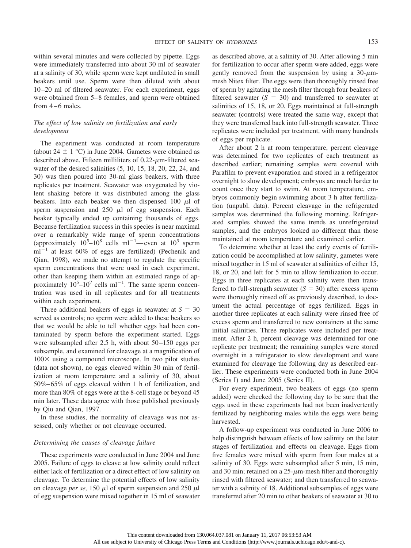within several minutes and were collected by pipette. Eggs were immediately transferred into about 30 ml of seawater at a salinity of 30, while sperm were kept undiluted in small beakers until use. Sperm were then diluted with about 10 –20 ml of filtered seawater. For each experiment, eggs were obtained from 5–8 females, and sperm were obtained from  $4-6$  males.

# *The effect of low salinity on fertilization and early development*

The experiment was conducted at room temperature (about  $24 \pm 1$  °C) in June 2004. Gametes were obtained as described above. Fifteen milliliters of  $0.22$ - $\mu$ m-filtered seawater of the desired salinities (5, 10, 15, 18, 20, 22, 24, and 30) was then poured into 30-ml glass beakers, with three replicates per treatment. Seawater was oxygenated by violent shaking before it was distributed among the glass beakers. Into each beaker we then dispensed 100  $\mu$ l of sperm suspension and  $250 \mu l$  of egg suspension. Each beaker typically ended up containing thousands of eggs. Because fertilization success in this species is near maximal over a remarkably wide range of sperm concentrations (approximately  $10^5 - 10^8$  cells ml<sup>-1</sup>—even at  $10^3$  sperm  $ml^{-1}$  at least 60% of eggs are fertilized) (Pechenik and Qian, 1998), we made no attempt to regulate the specific sperm concentrations that were used in each experiment, other than keeping them within an estimated range of approximately  $10^5 - 10^7$  cells ml<sup>-1</sup>. The same sperm concentration was used in all replicates and for all treatments within each experiment.

Three additional beakers of eggs in seawater at  $S = 30$ served as controls; no sperm were added to these beakers so that we would be able to tell whether eggs had been contaminated by sperm before the experiment started. Eggs were subsampled after  $2.5$  h, with about  $50-150$  eggs per subsample, and examined for cleavage at a magnification of  $100 \times$  using a compound microscope. In two pilot studies (data not shown), no eggs cleaved within 30 min of fertilization at room temperature and a salinity of 30, about 50%– 65% of eggs cleaved within 1 h of fertilization, and more than 80% of eggs were at the 8-cell stage or beyond 45 min later. These data agree with those published previously by Qiu and Qian, 1997.

In these studies, the normality of cleavage was not assessed, only whether or not cleavage occurred.

#### *Determining the causes of cleavage failure*

These experiments were conducted in June 2004 and June 2005. Failure of eggs to cleave at low salinity could reflect either lack of fertilization or a direct effect of low salinity on cleavage. To determine the potential effects of low salinity on cleavage *per se*, 150  $\mu$ l of sperm suspension and 250  $\mu$ l of egg suspension were mixed together in 15 ml of seawater as described above, at a salinity of 30. After allowing 5 min for fertilization to occur after sperm were added, eggs were gently removed from the suspension by using a  $30-\mu m$ mesh Nitex filter. The eggs were then thoroughly rinsed free of sperm by agitating the mesh filter through four beakers of filtered seawater  $(S = 30)$  and transferred to seawater at salinities of 15, 18, or 20. Eggs maintained at full-strength seawater (controls) were treated the same way, except that they were transferred back into full-strength seawater. Three replicates were included per treatment, with many hundreds of eggs per replicate.

After about 2 h at room temperature, percent cleavage was determined for two replicates of each treatment as described earlier; remaining samples were covered with Parafilm to prevent evaporation and stored in a refrigerator overnight to slow development; embryos are much harder to count once they start to swim. At room temperature, embryos commonly begin swimming about 3 h after fertilization (unpubl. data). Percent cleavage in the refrigerated samples was determined the following morning. Refrigerated samples showed the same trends as unrefrigerated samples, and the embryos looked no different than those maintained at room temperature and examined earlier.

To determine whether at least the early events of fertilization could be accomplished at low salinity, gametes were mixed together in 15 ml of seawater at salinities of either 15, 18, or 20, and left for 5 min to allow fertilization to occur. Eggs in three replicates at each salinity were then transferred to full-strength seawater  $(S = 30)$  after excess sperm were thoroughly rinsed off as previously described, to document the actual percentage of eggs fertilized. Eggs in another three replicates at each salinity were rinsed free of excess sperm and transferred to new containers at the same initial salinities. Three replicates were included per treatment. After 2 h, percent cleavage was determined for one replicate per treatment; the remaining samples were stored overnight in a refrigerator to slow development and were examined for cleavage the following day as described earlier. These experiments were conducted both in June 2004 (Series I) and June 2005 (Series II).

For every experiment, two beakers of eggs (no sperm added) were checked the following day to be sure that the eggs used in these experiments had not been inadvertently fertilized by neighboring males while the eggs were being harvested.

A follow-up experiment was conducted in June 2006 to help distinguish between effects of low salinity on the later stages of fertilization and effects on cleavage. Eggs from five females were mixed with sperm from four males at a salinity of 30. Eggs were subsampled after 5 min, 15 min, and 30 min; retained on a  $25$ - $\mu$ m-mesh filter and thoroughly rinsed with filtered seawater; and then transferred to seawater with a salinity of 18. Additional subsamples of eggs were transferred after 20 min to other beakers of seawater at 30 to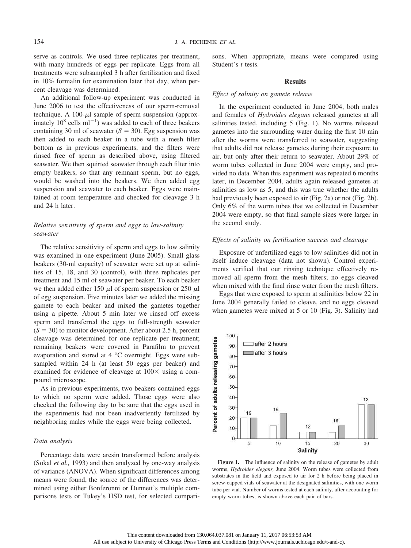serve as controls. We used three replicates per treatment, with many hundreds of eggs per replicate. Eggs from all treatments were subsampled 3 h after fertilization and fixed in 10% formalin for examination later that day, when percent cleavage was determined.

An additional follow-up experiment was conducted in June 2006 to test the effectiveness of our sperm-removal technique. A 100- $\mu$ l sample of sperm suspension (approximately  $10^8$  cells ml<sup>-1</sup>) was added to each of three beakers containing 30 ml of seawater  $(S = 30)$ . Egg suspension was then added to each beaker in a tube with a mesh filter bottom as in previous experiments, and the filters were rinsed free of sperm as described above, using filtered seawater. We then squirted seawater through each filter into empty beakers, so that any remnant sperm, but no eggs, would be washed into the beakers. We then added egg suspension and seawater to each beaker. Eggs were maintained at room temperature and checked for cleavage 3 h and 24 h later.

# *Relative sensitivity of sperm and eggs to low-salinity seawater*

The relative sensitivity of sperm and eggs to low salinity was examined in one experiment (June 2005). Small glass beakers (30-ml capacity) of seawater were set up at salinities of 15, 18, and 30 (control), with three replicates per treatment and 15 ml of seawater per beaker. To each beaker we then added either 150  $\mu$ l of sperm suspension or 250  $\mu$ l of egg suspension. Five minutes later we added the missing gamete to each beaker and mixed the gametes together using a pipette. About 5 min later we rinsed off excess sperm and transferred the eggs to full-strength seawater  $(S = 30)$  to monitor development. After about 2.5 h, percent cleavage was determined for one replicate per treatment; remaining beakers were covered in Parafilm to prevent evaporation and stored at 4 °C overnight. Eggs were subsampled within 24 h (at least 50 eggs per beaker) and examined for evidence of cleavage at  $100 \times$  using a compound microscope.

As in previous experiments, two beakers contained eggs to which no sperm were added. Those eggs were also checked the following day to be sure that the eggs used in the experiments had not been inadvertently fertilized by neighboring males while the eggs were being collected.

# *Data analysis*

Percentage data were arcsin transformed before analysis (Sokal *et al.,* 1993) and then analyzed by one-way analysis of variance (ANOVA). When significant differences among means were found, the source of the differences was determined using either Bonferonni or Dunnett's multiple comparisons tests or Tukey's HSD test, for selected comparisons. When appropriate, means were compared using Student's *t* tests.

## **Results**

## *Effect of salinity on gamete release*

In the experiment conducted in June 2004, both males and females of *Hydroides elegans* released gametes at all salinities tested, including 5 (Fig. 1). No worms released gametes into the surrounding water during the first 10 min after the worms were transferred to seawater, suggesting that adults did not release gametes during their exposure to air, but only after their return to seawater. About 29% of worm tubes collected in June 2004 were empty, and provided no data. When this experiment was repeated 6 months later, in December 2004, adults again released gametes at salinities as low as 5, and this was true whether the adults had previously been exposed to air (Fig. 2a) or not (Fig. 2b). Only 6% of the worm tubes that we collected in December 2004 were empty, so that final sample sizes were larger in the second study.

#### *Effects of salinity on fertilization success and cleavage*

Exposure of unfertilized eggs to low salinities did not in itself induce cleavage (data not shown). Control experiments verified that our rinsing technique effectively removed all sperm from the mesh filters; no eggs cleaved when mixed with the final rinse water from the mesh filters.

Eggs that were exposed to sperm at salinities below 22 in June 2004 generally failed to cleave, and no eggs cleaved when gametes were mixed at 5 or 10 (Fig. 3). Salinity had



Figure 1. The influence of salinity on the release of gametes by adult worms, *Hydroides elegans,* June 2004. Worm tubes were collected from substrates in the field and exposed to air for 2 h before being placed in screw-capped vials of seawater at the designated salinities, with one worm tube per vial. Number of worms tested at each salinity, after accounting for empty worm tubes, is shown above each pair of bars.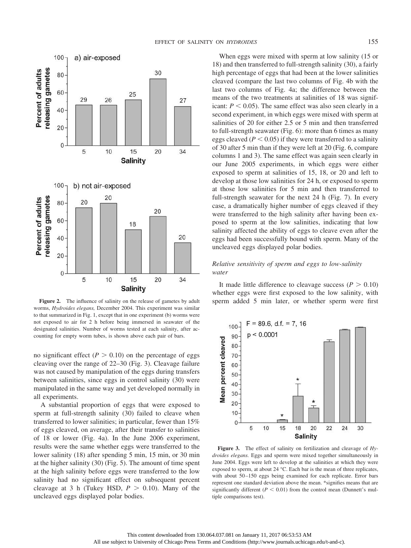

Figure 2. The influence of salinity on the release of gametes by adult worms, *Hydroides elegans,* December 2004. This experiment was similar to that summarized in Fig. 1, except that in one experiment (b) worms were not exposed to air for 2 h before being immersed in seawater of the designated salinities. Number of worms tested at each salinity, after accounting for empty worm tubes, is shown above each pair of bars.

no significant effect  $(P > 0.10)$  on the percentage of eggs cleaving over the range of 22–30 (Fig. 3). Cleavage failure was not caused by manipulation of the eggs during transfers between salinities, since eggs in control salinity (30) were manipulated in the same way and yet developed normally in all experiments.

A substantial proportion of eggs that were exposed to sperm at full-strength salinity (30) failed to cleave when transferred to lower salinities; in particular, fewer than 15% of eggs cleaved, on average, after their transfer to salinities of 18 or lower (Fig. 4a). In the June 2006 experiment, results were the same whether eggs were transferred to the lower salinity (18) after spending 5 min, 15 min, or 30 min at the higher salinity (30) (Fig. 5). The amount of time spent at the high salinity before eggs were transferred to the low salinity had no significant effect on subsequent percent cleavage at 3 h (Tukey HSD,  $P > 0.10$ ). Many of the uncleaved eggs displayed polar bodies.

When eggs were mixed with sperm at low salinity (15 or 18) and then transferred to full-strength salinity (30), a fairly high percentage of eggs that had been at the lower salinities cleaved (compare the last two columns of Fig. 4b with the last two columns of Fig. 4a; the difference between the means of the two treatments at salinities of 18 was significant:  $P < 0.05$ ). The same effect was also seen clearly in a second experiment, in which eggs were mixed with sperm at salinities of 20 for either 2.5 or 5 min and then transferred to full-strength seawater (Fig. 6): more than 6 times as many eggs cleaved ( $P < 0.05$ ) if they were transferred to a salinity of 30 after 5 min than if they were left at 20 (Fig. 6, compare columns 1 and 3). The same effect was again seen clearly in our June 2005 experiments, in which eggs were either exposed to sperm at salinities of 15, 18, or 20 and left to develop at those low salinities for 24 h, or exposed to sperm at those low salinities for 5 min and then transferred to full-strength seawater for the next 24 h (Fig. 7). In every case, a dramatically higher number of eggs cleaved if they were transferred to the high salinity after having been exposed to sperm at the low salinities, indicating that low salinity affected the ability of eggs to cleave even after the eggs had been successfully bound with sperm. Many of the uncleaved eggs displayed polar bodies.

# *Relative sensitivity of sperm and eggs to low-salinity water*

It made little difference to cleavage success  $(P > 0.10)$ whether eggs were first exposed to the low salinity, with sperm added 5 min later, or whether sperm were first



**Figure 3.** The effect of salinity on fertilization and cleavage of *Hydroides elegans.* Eggs and sperm were mixed together simultaneously in June 2004. Eggs were left to develop at the salinities at which they were exposed to sperm, at about 24 °C. Each bar is the mean of three replicates, with about 50-150 eggs being examined for each replicate. Error bars represent one standard deviation above the mean. \*signifies means that are significantly different  $(P < 0.01)$  from the control mean (Dunnett's multiple comparisons test).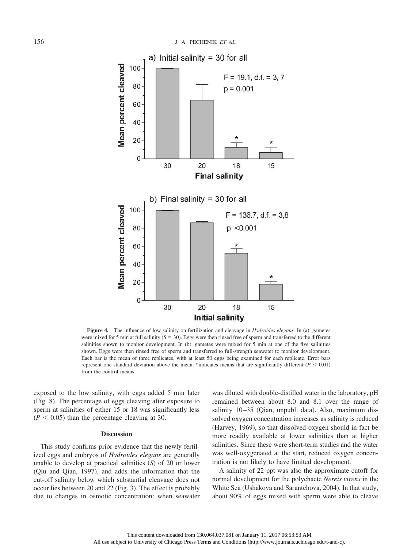

**Figure 4.** The influence of low salinity on fertilization and cleavage in *Hydroides elegans.* In (a), gametes were mixed for 5 min at full salinity  $(S = 30)$ . Eggs were then rinsed free of sperm and transferred to the different salinities shown to monitor development. In (b), gametes were mixed for 5 min at one of the five salinities shown. Eggs were then rinsed free of sperm and transferred to full-strength seawater to monitor development. Each bar is the mean of three replicates, with at least 50 eggs being examined for each replicate. Error bars represent one standard deviation above the mean. \*indicates means that are significantly different ( $P < 0.01$ ) from the control means.

exposed to the low salinity, with eggs added 5 min later (Fig. 8). The percentage of eggs cleaving after exposure to sperm at salinities of either 15 or 18 was significantly less  $(P < 0.05)$  than the percentage cleaving at 30.

#### **Discussion**

This study confirms prior evidence that the newly fertilized eggs and embryos of *Hydroides elegans* are generally unable to develop at practical salinities (*S*) of 20 or lower (Qiu and Qian, 1997), and adds the information that the cut-off salinity below which substantial cleavage does not occur lies between 20 and 22 (Fig. 3). The effect is probably due to changes in osmotic concentration: when seawater was diluted with double-distilled water in the laboratory, pH remained between about 8.0 and 8.1 over the range of salinity 10-35 (Qian, unpubl. data). Also, maximum dissolved oxygen concentration increases as salinity is reduced (Harvey, 1969), so that dissolved oxygen should in fact be more readily available at lower salinities than at higher salinities. Since these were short-term studies and the water was well-oxygenated at the start, reduced oxygen concentration is not likely to have limited development.

A salinity of 22 ppt was also the approximate cutoff for normal development for the polychaete *Nereis virens* in the White Sea (Ushakova and Sarantchova, 2004). In that study, about 90% of eggs mixed with sperm were able to cleave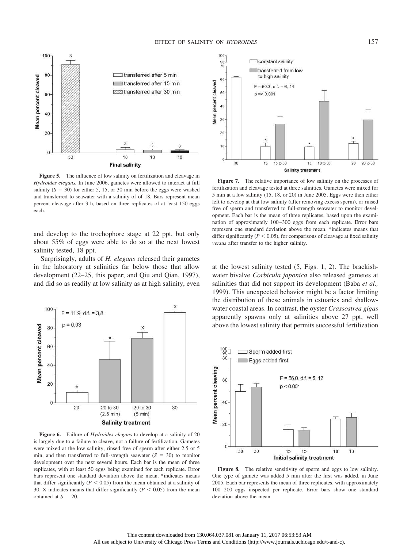

**Figure 5.** The influence of low salinity on fertilization and cleavage in *Hydroides elegans.* In June 2006, gametes were allowed to interact at full salinity  $(S = 30)$  for either 5, 15, or 30 min before the eggs were washed and transferred to seawater with a salinity of of 18. Bars represent mean percent cleavage after 3 h, based on three replicates of at least 150 eggs each.

and develop to the trochophore stage at 22 ppt, but only about 55% of eggs were able to do so at the next lowest salinity tested, 18 ppt.

Surprisingly, adults of *H. elegans* released their gametes in the laboratory at salinities far below those that allow development (22–25, this paper; and Qiu and Qian, 1997), and did so as readily at low salinity as at high salinity, even



**Figure 6.** Failure of *Hydroides elegans* to develop at a salinity of 20 is largely due to a failure to cleave, not a failure of fertilization. Gametes were mixed at the low salinity, rinsed free of sperm after either 2.5 or 5 min, and then transferred to full-strength seawater  $(S = 30)$  to monitor development over the next several hours. Each bar is the mean of three replicates, with at least 50 eggs being examined for each replicate. Error bars represent one standard deviation above the mean. \*indicates means that differ significantly ( $P < 0.05$ ) from the mean obtained at a salinity of 30. X indicates means that differ significantly  $(P < 0.05)$  from the mean obtained at  $S = 20$ .



**Figure 7.** The relative importance of low salinity on the processes of fertilization and cleavage tested at three salinities. Gametes were mixed for 5 min at a low salinity (15, 18, or 20) in June 2005. Eggs were then either left to develop at that low salinity (after removing excess sperm), or rinsed free of sperm and transferred to full-strength seawater to monitor development. Each bar is the mean of three replicates, based upon the examination of approximately 100 –300 eggs from each replicate. Error bars represent one standard deviation above the mean. \*indicates means that differ significantly ( $P < 0.05$ ), for comparisons of cleavage at fixed salinity *versus* after transfer to the higher salinity.

at the lowest salinity tested (5, Figs. 1, 2). The brackishwater bivalve *Corbicula japonica* also released gametes at salinities that did not support its development (Baba *et al.,* 1999). This unexpected behavior might be a factor limiting the distribution of these animals in estuaries and shallowwater coastal areas. In contrast, the oyster *Crassostrea gigas* apparently spawns only at salinities above 27 ppt, well above the lowest salinity that permits successful fertilization



**Figure 8.** The relative sensitivity of sperm and eggs to low salinity. One type of gamete was added 5 min after the first was added, in June 2005. Each bar represents the mean of three replicates, with approximately 100 –200 eggs inspected per replicate. Error bars show one standard deviation above the mean.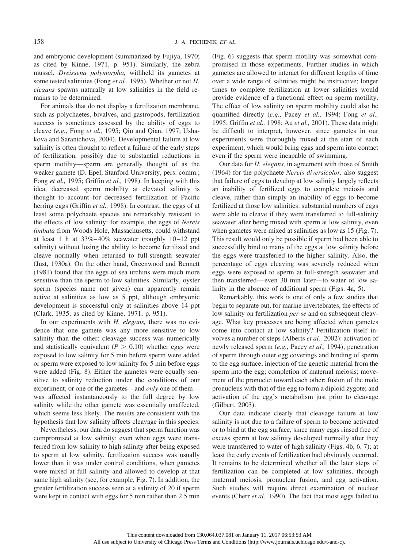and embryonic development (summarized by Fujiya, 1970; as cited by Kinne, 1971, p. 951). Similarly, the zebra mussel, *Dreissena polymorpha,* withheld its gametes at some tested salinities (Fong *et al.,* 1995). Whether or not *H. elegans* spawns naturally at low salinities in the field remains to be determined.

For animals that do not display a fertilization membrane, such as polychaetes, bivalves, and gastropods, fertilization success is sometimes assessed by the ability of eggs to cleave (*e.g.,* Fong *et al.,* 1995; Qiu and Qian, 1997; Ushakova and Sarantchova, 2004). Developmental failure at low salinity is often thought to reflect a failure of the early steps of fertilization, possibly due to substantial reductions in sperm motility—sperm are generally thought of as the weaker gamete (D. Epel, Stanford University, pers. comm.; Fong *et al.,* 1995; Griffin *et al.,* 1998). In keeping with this idea, decreased sperm mobility at elevated salinity is thought to account for decreased fertilization of Pacific herring eggs (Griffin *et al.,* 1998). In contrast, the eggs of at least some polychaete species are remarkably resistant to the effects of low salinity: for example, the eggs of *Nereis limbata* from Woods Hole, Massachusetts, could withstand at least 1 h at  $33\% - 40\%$  seawater (roughly  $10 - 12$  ppt salinity) without losing the ability to become fertilized and cleave normally when returned to full-strength seawater (Just, 1930a). On the other hand, Greenwood and Bennett (1981) found that the eggs of sea urchins were much more sensitive than the sperm to low salinities. Similarly, oyster sperm (species name not given) can apparently remain active at salinities as low as 5 ppt, although embryonic development is successful only at salinities above 14 ppt (Clark, 1935; as cited by Kinne, 1971, p. 951).

In our experiments with *H. elegans,* there was no evidence that one gamete was any more sensitive to low salinity than the other: cleavage success was numerically and statistically equivalent ( $P > 0.10$ ) whether eggs were exposed to low salinity for 5 min before sperm were added or sperm were exposed to low salinity for 5 min before eggs were added (Fig. 8). Either the gametes were equally sensitive to salinity reduction under the conditions of our experiment, or one of the gametes—and *only* one of them was affected instantaneously to the full degree by low salinity while the other gamete was essentially unaffected, which seems less likely. The results are consistent with the hypothesis that low salinity affects cleavage in this species.

Nevertheless, our data do suggest that sperm function was compromised at low salinity: even when eggs were transferred from low salinity to high salinity after being exposed to sperm at low salinity, fertilization success was usually lower than it was under control conditions, when gametes were mixed at full salinity and allowed to develop at that same high salinity (see, for example, Fig. 7). In addition, the greater fertilization success seen at a salinity of 20 if sperm were kept in contact with eggs for 5 min rather than 2.5 min (Fig. 6) suggests that sperm motility was somewhat compromised in those experiments. Further studies in which gametes are allowed to interact for different lengths of time over a wide range of salinities might be instructive; longer times to complete fertilization at lower salinities would provide evidence of a functional effect on sperm motility. The effect of low salinity on sperm mobility could also be quantified directly (*e.g.,* Pacey *et al.,* 1994; Fong *et al.,* 1995; Griffin *et al.,* 1998; Au *et al.,* 2001). These data might be difficult to interpret, however, since gametes in our experiments were thoroughly mixed at the start of each experiment, which would bring eggs and sperm into contact even if the sperm were incapable of swimming.

Our data for *H. elegans,* in agreement with those of Smith (1964) for the polychaete *Nereis diversicolor,* also suggest that failure of eggs to develop at low salinity largely reflects an inability of fertilized eggs to complete meiosis and cleave, rather than simply an inability of eggs to become fertilized at those low salinities: substantial numbers of eggs were able to cleave if they were transferred to full-salinity seawater after being mixed with sperm at low salinity, even when gametes were mixed at salinities as low as 15 (Fig. 7). This result would only be possible if sperm had been able to successfully bind to many of the eggs at low salinity before the eggs were transferred to the higher salinity. Also, the percentage of eggs cleaving was severely reduced when eggs were exposed to sperm at full-strength seawater and then transferred— even 30 min later—to water of low salinity in the absence of additional sperm (Figs. 4a, 5).

Remarkably, this work is one of only a few studies that begin to separate out, for marine invertebrates, the effects of low salinity on fertilization *per se* and on subsequent cleavage. What key processes are being affected when gametes come into contact at low salinity? Fertilization itself involves a number of steps (Alberts *et al.,* 2002): activation of newly released sperm (*e.g.,* Pacey *et al.,* 1994); penetration of sperm through outer egg coverings and binding of sperm to the egg surface; injection of the genetic material from the sperm into the egg; completion of maternal meiosis; movement of the pronuclei toward each other; fusion of the male pronucleus with that of the egg to form a diploid zygote; and activation of the egg's metabolism just prior to cleavage (Gilbert, 2003).

Our data indicate clearly that cleavage failure at low salinity is not due to a failure of sperm to become activated or to bind at the egg surface, since many eggs rinsed free of excess sperm at low salinity developed normally after they were transferred to water of high salinity (Figs. 4b, 6, 7); at least the early events of fertilization had obviously occurred. It remains to be determined whether all the later steps of fertilization can be completed at low salinities, through maternal meiosis, pronuclear fusion, and egg activation. Such studies will require direct examination of nuclear events (Cherr *et al.,* 1990). The fact that most eggs failed to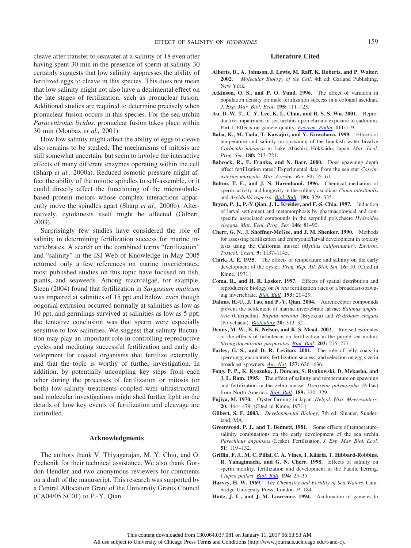cleave after transfer to seawater at a salinity of 18 even after having spent 30 min in the presence of sperm at salinity 30 certainly suggests that low salinity suppresses the ability of fertilized eggs to cleave in this species. This does not mean that low salinity might not also have a detrimental effect on the late stages of fertilization, such as pronuclear fusion. Additional studies are required to determine precisely when pronuclear fusion occurs in this species. For the sea urchin *Paracentrotus lividus,* pronuclear fusion takes place within 30 min (Moubax *et al.,* 2001).

How low salinity might affect the ability of eggs to cleave also remains to be studied. The mechanisms of mitosis are still somewhat uncertain, but seem to involve the interactive effects of many different enzymes operating within the cell (Sharp *et al.,* 2000a). Reduced osmotic pressure might affect the ability of the mitotic spindles to self-assemble, or it could directly affect the functioning of the microtubulebased protein motors whose complex interactions apparently move the spindles apart (Sharp *et al.,* 2000b). Alternatively, cytokinesis itself might be affected (Gilbert, 2003).

Surprisingly few studies have considered the role of salinity in determining fertilization success for marine invertebrates. A search on the combined terms "fertilization" and "salinity" in the ISI Web of Knowledge in May 2005 returned only a few references on marine invertebrates; most published studies on this topic have focused on fish, plants, and seaweeds. Among macroalgae, for example, Steen (2004) found that fertilization in *Sargassum muticum* was impaired at salinities of 15 ppt and below, even though oogonial extrusion occurred normally at salinities as low as 10 ppt, and germlings survived at salinities as low as 5 ppt; the tentative conclusion was that sperm were especially sensitive to low salinities. We suggest that salinity fluctuation may play an important role in controlling reproductive cycles and mediating successful fertilization and early development for coastal organisms that fertilize externally, and that the topic is worthy of further investigation. In addition, by potentially uncoupling key steps from each other during the processes of fertilization or mitosis (or both) low-salinity treatments coupled with ultrastructural and molecular investigations might shed further light on the details of how key events of fertilization and cleavage are controlled.

# **Acknowledgments**

The authors thank V. Thiyagarajan, M. Y. Chiu, and O. Pechenik for their technical assistance. We also thank Gordon Hendler and two anonymous reviewers for comments on a draft of the manuscript. This research was supported by a Central Allocation Grant of the University Grants Council (CA04/05.SC01) to P.-Y. Qian.

# **Literature Cited**

- **Alberts, B., A. Johnson, J. Lewis, M. Raff, K. Roberts, and P. Walter. 2002.** *Molecular Biology of the Cell,* 4th ed. Garland Publishing, New York.
- **Atkinson, O. S., and P. O. Yund. 1996.** The effect of variation in population density on male fertilization success in a colonial ascidian. *J. Exp. Mar. Biol. Ecol.* **195:** 111–123.
- **Au, D. W. T., C. Y. Lee, K. L. Chan, and R. S. S. Wu. 2001.** Reproductive impairment of sea urchins upon chronic exposure to cadmium. Part I: Effects on gamete quality. *[Environ. Pollut](http://www.journals.uchicago.edu/action/showLinks?pmid=11202702).* **111:**1–9.
- **Baba, K., M. Tada, T. Kawajiri, and Y. Kuwahara. 1999.** Effects of temperature and salinity on spawning of the brackish water bivalve *Corbicula japonica* in Lake Abashiri, Hokkaido, Japan. *Mar. Ecol. Prog. Ser.* **180:** 213–221.
- **Babcock, R., E. Franke, and N. Barr. 2000.** Does spawning depth affect fertilization rates? Experimental data from the sea star *Coscinasterias muricata. Mar. Freshw. Res.* **51:** 55– 61.
- **Bolton, T. F., and J. N. Havenhand. 1996.** Chemical mediation of sperm activity and longevity in the solitary ascidians *Ciona intestinalis* and *Ascidiella aspersa. [Biol. Bull](http://www.journals.uchicago.edu/action/showLinks?system=10.2307%2F1543025).* **190:** 329 –335.
- **Bryan, P. J., P.-Y Qian, J. L. Kreider, and F.-S. Chia. 1997.** Induction of larval settlement and metamorphosis by pharmacological and conspecific associated compounds in the serpulid polychaete *Hydroides elegans. Mar. Ecol. Prog. Ser.* **146:** 81–90.
- **Cherr, G. N., J. Shoffner-McGee, and J. M. Shenker. 1990.** Methods for assessing fertilization and embryonic/larval development in toxicity tests using the California mussel (*Mytilus californianus*). *Environ. Toxicol. Chem.* **9:** 1137–1145.
- **Clark, A. E. 1935.** The effects of temperature and salinity on the early development of the oyster. *Prog. Rep. Atl. Biol. Stn.* **16:** 10. (Cited in Kinne, 1971.)
- **Coma, R., and H. R. Lasker. 1997.** Effects of spatial distribution and reproductive biology on *in situ* fertilization rates of a broadcast-spawning invertebrate. *[Biol. Bull.](http://www.journals.uchicago.edu/action/showLinks?system=10.2307%2F1542733)* **193:** 20 –29.
- **Dahms, H.-U., J. Tao, and P.-Y. Qian. 2004.** Adrenoceptor compounds prevent the settlement of marine invertebrate larvae: *Balanus amphitrite* (Cirripedia), *Bugula neritina* (Bryozoa) and *Hydroides elegans* (Polychaeta). *[Biofouling](http://www.journals.uchicago.edu/action/showLinks?pmid=15804715)* **20:** 313–321.
- **Denny, M. W., E. K. Nelson, and K. S. Mead. 2002.** Revised estimates of the effects of turbulence on fertilization in the purple sea urchin, *Strongylocentrotus purpuratus. [Biol. Bull.](http://www.journals.uchicago.edu/action/showLinks?system=10.2307%2F1543570)* **203:** 275–277.
- Farley, G. S., and D. R. Levitan. 2001. The role of jelly coats in sperm-egg encounters, fertilization success, and selection on egg size in broadcast spawners. *[Am. Nat](http://www.journals.uchicago.edu/action/showLinks?system=10.1086%2F320619).* **157:** 626 – 636.
- **Fong, P. P., K. Kyozuka, J. Duncan, S. Rynkowski, D. Mekasha, and J. L. Ram. 1995.** The effect of salinity and temperature on spawning and fertilization in the zebra mussel *Dreissena polymorpha* (Pallas) from North America. *[Biol. Bull.](http://www.journals.uchicago.edu/action/showLinks?system=10.2307%2F1542149)* **189:** 320 –329.
- **Fujiya, M. 1970.** Oyster farming in Japan. *Helgol. Wiss. Meeresunters.* **20:** 464 – 479. (Cited in Kinne, 1971.)
- **Gilbert, S. F. 2003.** *Developmental Biology,* 7th ed. Sinauer, Sunderland, MA.
- **Greenwood, P. J., and T. Bennett. 1981.** Some effects of temperaturesalinity combinations on the early development of the sea urchin *Parechinus angulosus* (Leske). Fertilization. *J. Exp. Mar. Biol. Ecol.* **51:** 119 –132.
- Griffin, F. J., M. C. Pillai, C. A. Vines, J. Kääriä, T. Hibbard-Robbins, **R. Yanagimachi, and G. N. Cherr. 1998.** Effects of salinity on sperm motility, fertilization and development in the Pacific herring, *Clupea pallasi. [Biol. Bull](http://www.journals.uchicago.edu/action/showLinks?system=10.2307%2F1542510).* **194:** 25–35.
- **Harvey, H. W. 1969.** *The Chemistry and Fertility of Sea Waters.* Cambridge University Press, London. P. 184.
- **Hintz, J. L., and J. M. Lawrence. 1994.** Acclimation of gametes to